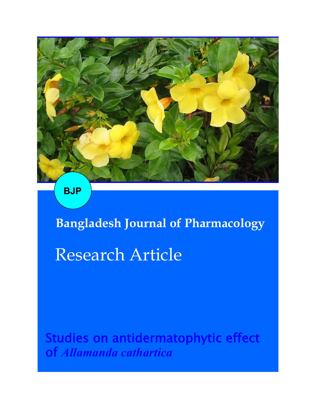

**BJP**

# **Bangladesh Journal of Pharmacology**  Research Article

Studies on antidermatophytic effect of *Allamanda cathartica*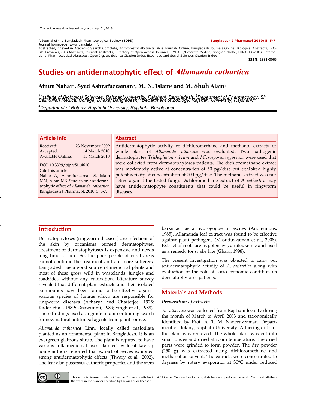## A Journal of the Bangladesh Pharmacological Society (BDPS) **Bangladesh J Pharmacol 2010; 5: 5-7**

### Journal homepage: www.banglajol.info

Abstracted/indexed in Academic Search Complete, Agroforestry Abstracts, Asia Journals Online, Bangladesh Journals Online, Biological Abstracts, BIO-<br>SIS Previews, CAB Abstracts, Current Abstracts, Directory of Open Access tional Pharmaceutical Abstracts, Open J-gate, Science Citation Index Expanded and Social Sciences Citation Index

**ISSN**: 1991-0088

# Studies on antidermatophytic effect of *Allamanda cathartica*

# **Ainun Nahar<sup>1</sup> , Syed Ashrafuzzaman2, M. N. Islam<sup>3</sup> and M. Shah Alam<sup>4</sup>**

<sup>1</sup>Institute of Biological Sciences, Rajshahi University, Rajshahi, Bangladesh; <sup>2</sup>Department of Pharmacology, Sir<br>Salimullah Medical College, Dhaka, Bangladesh; <sup>3</sup>Department of Zoology, Rajshahi University, Rajshahi, *<sup>4</sup>Department of Botany, Rajshahi University, Rajshahi, Bangladesh.*

# **Article Info**

| 23 November 2009 |
|------------------|
| 14 March 2010    |
| 15 March 2010    |
|                  |

DOI: 10.3329/bjp.v5i1.4610 Cite this article: Nahar A, Ashrafuzzaman S, Islam MN, Alam MS. Studies on antidermatophytic effect of *Allamanda cathartica.* Bangladesh J Pharmacol. 2010; 5: 5-7.

# **Abstract**

Antidermatophytic activity of dichloromethane and methanol extracts of whole plant of *Allamanda cathartica* was evaluated. Two pathogenic dermatophytes *Trichophyton rubrum* and *Microsporum gypseum* were used that were collected from dermatophytoses patients. The dichloromethane extract was moderately active at concentration of 50 pg/disc but exhibited highly potent activity at concentration of 200 pg/disc. The methanol extract was not active against the tested fungi. Dichloromethane extract of *A. cathartica* may have antidermatophyte constituents that could be useful in ringworm diseases.

# **Introduction**

Dermatophytoses (ringworm diseases) are infections of the skin by organisms termed dermatophytes. Treatment of dermatophytoses is expensive and needs long time to cure. So, the poor people of rural areas cannot continue the treatment and are more sufferers. Bangladesh has a good source of medicinal plants and most of these grow wild in wastelands, jungles and roadsides without any cultivation. Literature survey revealed that different plant extracts and their isolated compounds have been found to be effective against various species of fungus which are responsible for ringworm diseases (Acharya and Chatterjee, 1975; Kader et al., 1989; Onawunmi, 1989; Singh et al., 1988). These findings used as a guide in our continuing search for new natural antifungal agents from plant source.

*Allamanda cathartica* Linn. locally called malotilata planted as an ornamental plant in Bangladesh. It is an evergreen glabrous shrub. The plant is reputed to have various folk medicinal uses claimed by local kaviraj. Some authors reported that extract of leaves exhibited strong antidermatophytic effects (Tiwary et al., 2002). The leaf also possesses cathertic properties and the stem

barks act as a hydrogogue in ascites (Anonymous, 1985). Allamanda leaf extract was found to be effective against plant pathogens (Masuduzzaman et al., 2008). Extract of roots are hypotensive, antileukemic and used as a remedy for snake bite (Ghani, 1998).

The present investigation was objected to carry out antidermatophytic activity of *A. cathartica* along with evaluation of the role of socio-economic condition on dermatophytoses patients.

# **Materials and Methods**

# *Preparation of extracts*

*A. cathertica* was collected from Rajshahi locality during the month of March to April 2003 and taxonomically identified by Prof. A. T. M. Naderuzzaman, Department of Botany, Rajshahi University. Adhering dirt's of the plant was removed. The whole plant was cut into small pieces and dried at room temperature. The dried parts were grinded to form powder. The dry powder (250 g) was extracted using dichloromethane and methanol as solvent. The extracts were concentrated to dryness by rotary evaporator at 30°C under reduced



This work is licensed under a Creative Commons Attribution 4.0 License. You are free to copy, distribute and perform the work. You must attribute the work in the manner specified by the author or licensor.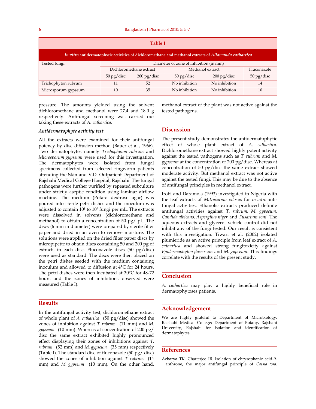| <b>Table I</b>                                                                                         |                                        |                                   |                                  |                       |                                    |  |
|--------------------------------------------------------------------------------------------------------|----------------------------------------|-----------------------------------|----------------------------------|-----------------------|------------------------------------|--|
| In vitro antidermatophytic activities of dichloromethane and methanol extracts of Allamanda cathartica |                                        |                                   |                                  |                       |                                    |  |
| Tested fungi                                                                                           | Diameter of zone of inhibition (in mm) |                                   |                                  |                       |                                    |  |
|                                                                                                        | Dichloromethane extract                |                                   |                                  | Methanol extract      | Fluconazole                        |  |
|                                                                                                        | $50 \,\mathrm{pg}/\mathrm{disc}$       | $200 \,\mathrm{pg}/\mathrm{disc}$ | $50 \,\mathrm{pg}/\mathrm{disc}$ | $200 \text{ pg/disc}$ | $50 \frac{\text{pg}}{\text{disc}}$ |  |
| Trichophyton rubrum                                                                                    | 11                                     | 52                                | No inhibition                    | No inhibition         | 14                                 |  |
| Microsporum gypseum                                                                                    | 10                                     | 35                                | No inhibition                    | No inhibition         | 10                                 |  |

pressure. The amounts yielded using the solvent dichloromethane and methanol were 27.4 and 18.0 g respectively. Antifungal screening was carried out taking these extracts of *A. cathartica.*

methanol extract of the plant was not active against the tested pathogens.

# *Antidermatophyte activity test*

All the extracts were examined for their antifungal potency by disc diffusion method (Bauer et al., 1966). Two dermatophytes namely *Trichophyton rubrum* and *Microsporum gypseum* were used for this investigation. The dermatophytes were isolated from fungal specimens collected from selected ringworm patients attending the Skin and V.D. Outpatient Department of Rajshahi Medical College Hospital, Rajshahi. The fungal pathogens were further purified by repeated subculture under strictly aseptic condition using laminar airflow machine. The medium (Potato dextrose agar) was poured into sterile petri dishes and the inoculum was adjusted to contain 105 to 107 fungi per mL. The extracts were dissolved in solvents (dichloromethane and methanol) to obtain a concentration of 50 pg/ pL. The discs (6 mm in diameter) were prepared by sterile filter paper and dried in an oven to remove moisture. The solutions were applied on the dried filter paper discs by micropipette to obtain discs containing 50 and 200 pg of extracts in each disc. Fluconazole discs (50 pg/disc) were used as standard. The discs were then placed on the petri dishes seeded with the medium containing inoculum and allowed to diffusion at 4°C for 24 hours. The petri dishes were then incubated at 30°C for 48-72 hours and the zones of inhibitions observed were measured (Table I).

# **Results**

In the antifungal activity test, dichloromethane extract of whole plant of *A. cathartica* (50 pg/disc) showed the zones of inhibition against *T. rubrum* (11 mm) and *M. gypseum* (10 mm). Whereas at concentration of 200 pg/ disc the same extract exhibited highly pronounced effect displaying their zones of inhibitions against *T. rubrum* (52 mm) and *M. gypseum* (35 mm) respectively (Table I). The standard disc of fluconazole (50 pg/ disc) showed the zones of inhibition against *T. rubrum* (14 mm) and *M. gypseum* (10 mm). On the other hand,

# **Discussion**

The present study demonstrates the antidermatophytic effect of whole plant extract of *A. cathartica*. Dichloromethane extract showed highly potent activity against the tested pathogens such as *T. rubrum* and *M. gypseum* at the concentration of 200 pg/disc. Whereas at concentration of 50 pg/disc the same extract showed moderate activity. But methanol extract was not active against the tested fungi. This may be due to the absence of antifungal principles in methanol extract.

Irobi and Daramola (1993) investigated in Nigeria with the leaf extracts of *Mitracarpus vilosus* for *in vitro* antifungal activities. Ethanolic extracts produced definite antifungal activities against *T. rubrum, M. gypseum, Candida albicans, Aspergilus niger* and *Fusarium soni.* The aqueous extracts and glycerol vehicle control did not inhibit any of the fungi tested. Our result is consistent with this investigation. Tiwari et al. (2002) isolated plumieride as an active principle from leaf extract of *A. cathartica* and showed strong fungitoxicity against *Epidermophyton floccosum* and *M. gypseum*. This findings correlate with the results of the present study.

# **Conclusion**

*A. cathartica* may play a highly beneficial role in dermatophytoses patients.

# **Acknowledgement**

We are highly grateful to Department of Microbiology, Rajshahi Medical College; Department of Botany, Rajshahi University, Rajshahi for isolation and identification of dermatophytes.

# **References**

Acharya TK, Chatterjee IB. Isolation of chrysophanic acid-9 anthrone, the major antifungal principle of *Cassia tora*.